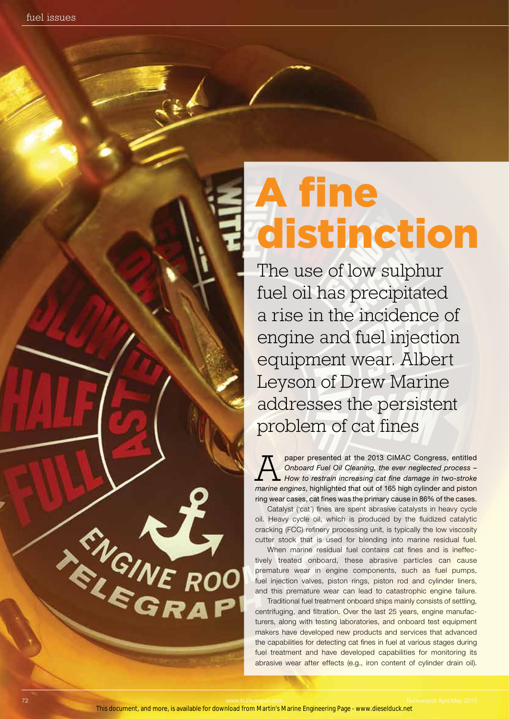## A fine distinction

The use of low sulphur fuel oil has precipitated a rise in the incidence of engine and fuel injection equipment wear. Albert Leyson of Drew Marine addresses the persistent problem of cat fines

paper presented at the 2013 CIMAC Congress, entitled<br> *Onboard Fuel Oil Cleaning, the ever neglected process –*<br> *How to restrain increasing cat fine damage in two-stroke*<br> **Provise argings** bighlighted that sut of 165 big *Onboard Fuel Oil Cleaning, the ever neglected process – marine engines*, highlighted that out of 165 high cylinder and piston ring wear cases, cat fines was the primary cause in 86% of the cases.

Catalyst ('cat') fines are spent abrasive catalysts in heavy cycle oil. Heavy cycle oil, which is produced by the fluidized catalytic cracking (FCC) refinery processing unit, is typically the low viscosity cutter stock that is used for blending into marine residual fuel.

When marine residual fuel contains cat fines and is ineffectively treated onboard, these abrasive particles can cause premature wear in engine components, such as fuel pumps, fuel injection valves, piston rings, piston rod and cylinder liners, and this premature wear can lead to catastrophic engine failure.

Traditional fuel treatment onboard ships mainly consists of settling, centrifuging, and filtration. Over the last 25 years, engine manufacturers, along with testing laboratories, and onboard test equipment makers have developed new products and services that advanced the capabilities for detecting cat fines in fuel at various stages during fuel treatment and have developed capabilities for monitoring its abrasive wear after effects (e.g., iron content of cylinder drain oil).

This document, and more, is available for download from Martin's Marine Engineering Page - www.dieselduck.net

FIGINE RO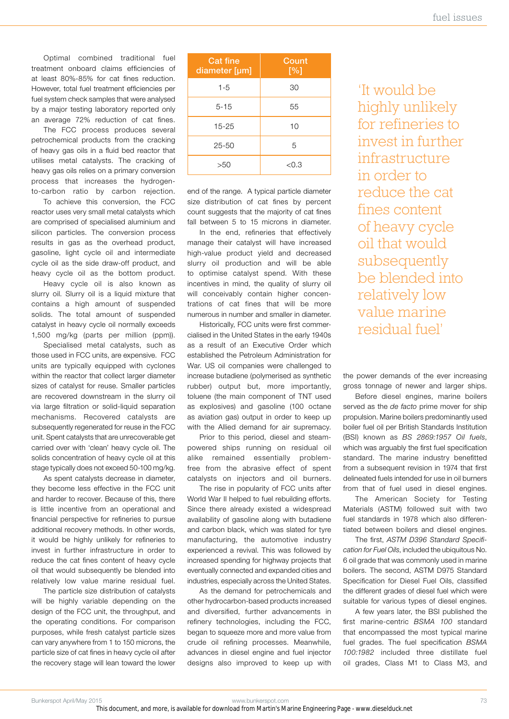Optimal combined traditional fuel treatment onboard claims efficiencies of at least 80%-85% for cat fines reduction. However, total fuel treatment efficiencies per fuel system check samples that were analysed by a major testing laboratory reported only an average 72% reduction of cat fines.

The FCC process produces several petrochemical products from the cracking of heavy gas oils in a fluid bed reactor that utilises metal catalysts. The cracking of heavy gas oils relies on a primary conversion process that increases the hydrogento-carbon ratio by carbon rejection.

To achieve this conversion, the FCC reactor uses very small metal catalysts which are comprised of specialised aluminium and silicon particles. The conversion process results in gas as the overhead product, gasoline, light cycle oil and intermediate cycle oil as the side draw-off product, and heavy cycle oil as the bottom product.

Heavy cycle oil is also known as slurry oil. Slurry oil is a liquid mixture that contains a high amount of suspended solids. The total amount of suspended catalyst in heavy cycle oil normally exceeds 1,500 mg/kg (parts per million (ppm)).

Specialised metal catalysts, such as those used in FCC units, are expensive. FCC units are typically equipped with cyclones within the reactor that collect larger diameter sizes of catalyst for reuse. Smaller particles are recovered downstream in the slurry oil via large filtration or solid-liquid separation mechanisms. Recovered catalysts are subsequently regenerated for reuse in the FCC unit. Spent catalysts that are unrecoverable get carried over with 'clean' heavy cycle oil. The solids concentration of heavy cycle oil at this stage typically does not exceed 50-100 mg/kg.

As spent catalysts decrease in diameter, they become less effective in the FCC unit and harder to recover. Because of this, there is little incentive from an operational and financial perspective for refineries to pursue additional recovery methods. In other words, it would be highly unlikely for refineries to invest in further infrastructure in order to reduce the cat fines content of heavy cycle oil that would subsequently be blended into relatively low value marine residual fuel.

The particle size distribution of catalysts will be highly variable depending on the design of the FCC unit, the throughput, and the operating conditions. For comparison purposes, while fresh catalyst particle sizes can vary anywhere from 1 to 150 microns, the particle size of cat fines in heavy cycle oil after the recovery stage will lean toward the lower

| <b>Cat fine</b><br>diameter [µm] | Count<br>[%] |  |
|----------------------------------|--------------|--|
| $1 - 5$                          | 30           |  |
| $5 - 15$                         | 55           |  |
| $15 - 25$                        | 10           |  |
| $25 - 50$                        | 5            |  |
| >50                              | < 0.3        |  |

end of the range. A typical particle diameter size distribution of cat fines by percent count suggests that the majority of cat fines fall between 5 to 15 microns in diameter.

In the end, refineries that effectively manage their catalyst will have increased high-value product yield and decreased slurry oil production and will be able to optimise catalyst spend. With these incentives in mind, the quality of slurry oil will conceivably contain higher concentrations of cat fines that will be more numerous in number and smaller in diameter.

Historically, FCC units were first commercialised in the United States in the early 1940s as a result of an Executive Order which established the Petroleum Administration for War. US oil companies were challenged to increase butadiene (polymerised as synthetic rubber) output but, more importantly, toluene (the main component of TNT used as explosives) and gasoline (100 octane as aviation gas) output in order to keep up with the Allied demand for air supremacy.

Prior to this period, diesel and steampowered ships running on residual oil alike remained essentially problemfree from the abrasive effect of spent catalysts on injectors and oil burners.

The rise in popularity of FCC units after World War II helped to fuel rebuilding efforts. Since there already existed a widespread availability of gasoline along with butadiene and carbon black, which was slated for tyre manufacturing, the automotive industry experienced a revival. This was followed by increased spending for highway projects that eventually connected and expanded cities and industries, especially across the United States.

As the demand for petrochemicals and other hydrocarbon-based products increased and diversified, further advancements in refinery technologies, including the FCC, began to squeeze more and more value from crude oil refining processes. Meanwhile, advances in diesel engine and fuel injector designs also improved to keep up with

'It would be highly unlikely for refineries to invest in further infrastructure in order to reduce the cat fines content of heavy cycle oil that would subsequently be blended into relatively low value marine residual fuel'

the power demands of the ever increasing gross tonnage of newer and larger ships.

Before diesel engines, marine boilers served as the *de facto* prime mover for ship propulsion. Marine boilers predominantly used boiler fuel oil per British Standards Institution (BSI) known as *BS 2869:1957 Oil fuels*, which was arguably the first fuel specification standard. The marine industry benefitted from a subsequent revision in 1974 that first delineated fuels intended for use in oil burners from that of fuel used in diesel engines.

The American Society for Testing Materials (ASTM) followed suit with two fuel standards in 1978 which also differentiated between boilers and diesel engines.

The first, *ASTM D396 Standard Specification for Fuel Oils*, included the ubiquitous No. 6 oil grade that was commonly used in marine boilers. The second, ASTM D975 Standard Specification for Diesel Fuel Oils, classified the different grades of diesel fuel which were suitable for various types of diesel engines.

A few years later, the BSI published the first marine-centric *BSMA 100* standard that encompassed the most typical marine fuel grades. The fuel specification *BSMA 100:1982* included three distillate fuel oil grades, Class M1 to Class M3, and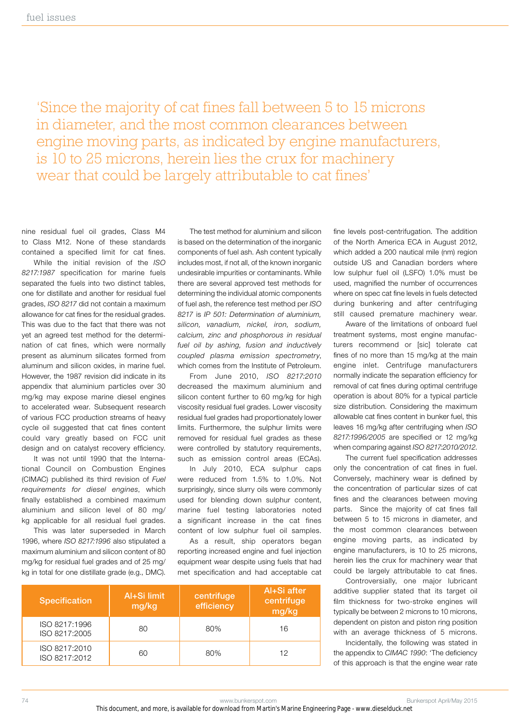'Since the majority of cat fines fall between 5 to 15 microns in diameter, and the most common clearances between engine moving parts, as indicated by engine manufacturers, is 10 to 25 microns, herein lies the crux for machinery wear that could be largely attributable to cat fines'

nine residual fuel oil grades, Class M4 to Class M12. None of these standards contained a specified limit for cat fines.

While the initial revision of the *ISO 8217:1987* specification for marine fuels separated the fuels into two distinct tables, one for distillate and another for residual fuel grades, *ISO 8217* did not contain a maximum allowance for cat fines for the residual grades. This was due to the fact that there was not yet an agreed test method for the determination of cat fines, which were normally present as aluminum silicates formed from aluminum and silicon oxides, in marine fuel. However, the 1987 revision did indicate in its appendix that aluminium particles over 30 mg/kg may expose marine diesel engines to accelerated wear. Subsequent research of various FCC production streams of heavy cycle oil suggested that cat fines content could vary greatly based on FCC unit design and on catalyst recovery efficiency.

It was not until 1990 that the International Council on Combustion Engines (CIMAC) published its third revision of *Fuel requirements for diesel engines*, which finally established a combined maximum aluminium and silicon level of 80 mg/ kg applicable for all residual fuel grades.

This was later superseded in March 1996, where *ISO 8217:1996* also stipulated a maximum aluminium and silicon content of 80 mg/kg for residual fuel grades and of 25 mg/ kg in total for one distillate grade (e.g., DMC).

The test method for aluminium and silicon is based on the determination of the inorganic components of fuel ash. Ash content typically includes most, if not all, of the known inorganic undesirable impurities or contaminants. While there are several approved test methods for determining the individual atomic components of fuel ash, the reference test method per *ISO 8217* is *IP 501: Determination of aluminium, silicon, vanadium, nickel, iron, sodium, calcium, zinc and phosphorous in residual fuel oil by ashing, fusion and inductively coupled plasma emission spectrometry*, which comes from the Institute of Petroleum.

From June 2010, *ISO 8217:2010* decreased the maximum aluminium and silicon content further to 60 mg/kg for high viscosity residual fuel grades. Lower viscosity residual fuel grades had proportionately lower limits. Furthermore, the sulphur limits were removed for residual fuel grades as these were controlled by statutory requirements, such as emission control areas (ECAs).

In July 2010, ECA sulphur caps were reduced from 1.5% to 1.0%. Not surprisingly, since slurry oils were commonly used for blending down sulphur content, marine fuel testing laboratories noted a significant increase in the cat fines content of low sulphur fuel oil samples.

As a result, ship operators began reporting increased engine and fuel injection equipment wear despite using fuels that had met specification and had acceptable cat

| Specification                  | Al+Si limit<br>mg/kg | centrifuge<br>efficiency | Al+Si after<br>centrifuge<br>mg/kg |
|--------------------------------|----------------------|--------------------------|------------------------------------|
| ISO 8217:1996<br>ISO 8217:2005 | 80                   | 80%                      | 16                                 |
| ISO 8217:2010<br>ISO 8217:2012 | 60                   | 80%                      | 12                                 |

fine levels post-centrifugation. The addition of the North America ECA in August 2012, which added a 200 nautical mile (nm) region outside US and Canadian borders where low sulphur fuel oil (LSFO) 1.0% must be used, magnified the number of occurrences where on spec cat fine levels in fuels detected during bunkering and after centrifuging still caused premature machinery wear.

Aware of the limitations of onboard fuel treatment systems, most engine manufacturers recommend or [sic] tolerate cat fines of no more than 15 mg/kg at the main engine inlet. Centrifuge manufacturers normally indicate the separation efficiency for removal of cat fines during optimal centrifuge operation is about 80% for a typical particle size distribution. Considering the maximum allowable cat fines content in bunker fuel, this leaves 16 mg/kg after centrifuging when *ISO 8217:1996/2005* are specified or 12 mg/kg when comparing against *ISO 8217:2010/2012*.

The current fuel specification addresses only the concentration of cat fines in fuel. Conversely, machinery wear is defined by the concentration of particular sizes of cat fines and the clearances between moving parts. Since the majority of cat fines fall between 5 to 15 microns in diameter, and the most common clearances between engine moving parts, as indicated by engine manufacturers, is 10 to 25 microns, herein lies the crux for machinery wear that could be largely attributable to cat fines.

Controversially, one major lubricant additive supplier stated that its target oil film thickness for two-stroke engines will typically be between 2 microns to 10 microns, dependent on piston and piston ring position with an average thickness of 5 microns.

Incidentally, the following was stated in the appendix to *CIMAC 1990*: 'The deficiency of this approach is that the engine wear rate